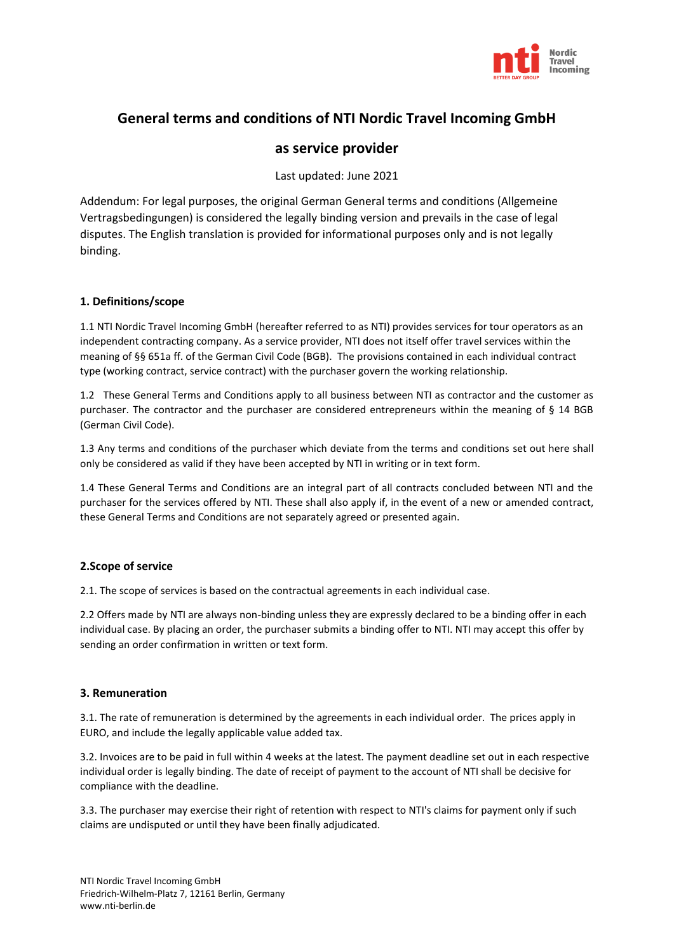

# **General terms and conditions of NTI Nordic Travel Incoming GmbH**

## **as service provider**

Last updated: June 2021

Addendum: For legal purposes, the original German General terms and conditions (Allgemeine Vertragsbedingungen) is considered the legally binding version and prevails in the case of legal disputes. The English translation is provided for informational purposes only and is not legally binding.

## **1. Definitions/scope**

1.1 NTI Nordic Travel Incoming GmbH (hereafter referred to as NTI) provides services for tour operators as an independent contracting company. As a service provider, NTI does not itself offer travel services within the meaning of §§ 651a ff. of the German Civil Code (BGB). The provisions contained in each individual contract type (working contract, service contract) with the purchaser govern the working relationship.

1.2 These General Terms and Conditions apply to all business between NTI as contractor and the customer as purchaser. The contractor and the purchaser are considered entrepreneurs within the meaning of § 14 BGB (German Civil Code).

1.3 Any terms and conditions of the purchaser which deviate from the terms and conditions set out here shall only be considered as valid if they have been accepted by NTI in writing or in text form.

1.4 These General Terms and Conditions are an integral part of all contracts concluded between NTI and the purchaser for the services offered by NTI. These shall also apply if, in the event of a new or amended contract, these General Terms and Conditions are not separately agreed or presented again.

## **2.Scope of service**

2.1. The scope of services is based on the contractual agreements in each individual case.

2.2 Offers made by NTI are always non-binding unless they are expressly declared to be a binding offer in each individual case. By placing an order, the purchaser submits a binding offer to NTI. NTI may accept this offer by sending an order confirmation in written or text form.

## **3. Remuneration**

3.1. The rate of remuneration is determined by the agreements in each individual order. The prices apply in EURO, and include the legally applicable value added tax.

3.2. Invoices are to be paid in full within 4 weeks at the latest. The payment deadline set out in each respective individual order is legally binding. The date of receipt of payment to the account of NTI shall be decisive for compliance with the deadline.

3.3. The purchaser may exercise their right of retention with respect to NTI's claims for payment only if such claims are undisputed or until they have been finally adjudicated.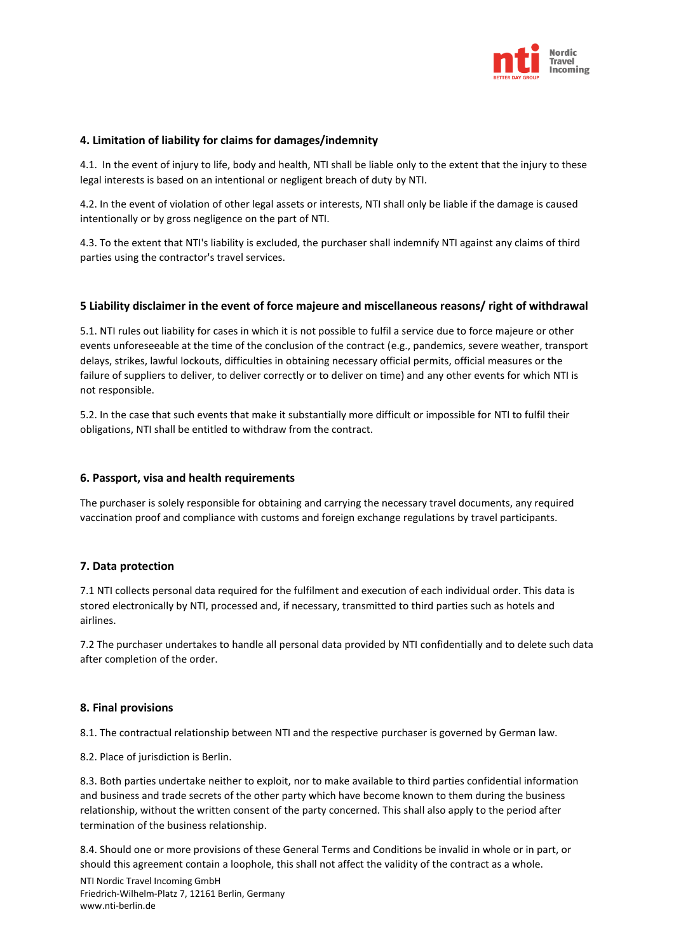

#### **4. Limitation of liability for claims for damages/indemnity**

4.1. In the event of injury to life, body and health, NTI shall be liable only to the extent that the injury to these legal interests is based on an intentional or negligent breach of duty by NTI.

4.2. In the event of violation of other legal assets or interests, NTI shall only be liable if the damage is caused intentionally or by gross negligence on the part of NTI.

4.3. To the extent that NTI's liability is excluded, the purchaser shall indemnify NTI against any claims of third parties using the contractor's travel services.

#### **5 Liability disclaimer in the event of force majeure and miscellaneous reasons/ right of withdrawal**

5.1. NTI rules out liability for cases in which it is not possible to fulfil a service due to force majeure or other events unforeseeable at the time of the conclusion of the contract (e.g., pandemics, severe weather, transport delays, strikes, lawful lockouts, difficulties in obtaining necessary official permits, official measures or the failure of suppliers to deliver, to deliver correctly or to deliver on time) and any other events for which NTI is not responsible.

5.2. In the case that such events that make it substantially more difficult or impossible for NTI to fulfil their obligations, NTI shall be entitled to withdraw from the contract.

#### **6. Passport, visa and health requirements**

The purchaser is solely responsible for obtaining and carrying the necessary travel documents, any required vaccination proof and compliance with customs and foreign exchange regulations by travel participants.

#### **7. Data protection**

7.1 NTI collects personal data required for the fulfilment and execution of each individual order. This data is stored electronically by NTI, processed and, if necessary, transmitted to third parties such as hotels and airlines.

7.2 The purchaser undertakes to handle all personal data provided by NTI confidentially and to delete such data after completion of the order.

#### **8. Final provisions**

8.1. The contractual relationship between NTI and the respective purchaser is governed by German law.

8.2. Place of jurisdiction is Berlin.

8.3. Both parties undertake neither to exploit, nor to make available to third parties confidential information and business and trade secrets of the other party which have become known to them during the business relationship, without the written consent of the party concerned. This shall also apply to the period after termination of the business relationship.

8.4. Should one or more provisions of these General Terms and Conditions be invalid in whole or in part, or should this agreement contain a loophole, this shall not affect the validity of the contract as a whole.